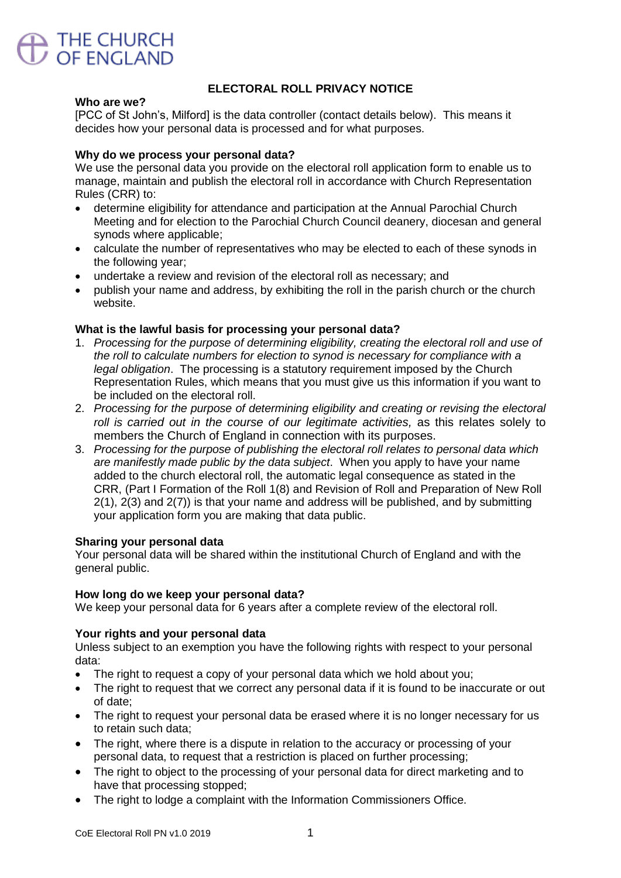

# **ELECTORAL ROLL PRIVACY NOTICE**

#### **Who are we?**

[PCC of St John's, Milford] is the data controller (contact details below). This means it decides how your personal data is processed and for what purposes.

### **Why do we process your personal data?**

We use the personal data you provide on the electoral roll application form to enable us to manage, maintain and publish the electoral roll in accordance with Church Representation Rules (CRR) to:

- determine eligibility for attendance and participation at the Annual Parochial Church Meeting and for election to the Parochial Church Council deanery, diocesan and general synods where applicable;
- calculate the number of representatives who may be elected to each of these synods in the following year;
- undertake a review and revision of the electoral roll as necessary; and
- publish your name and address, by exhibiting the roll in the parish church or the church website.

### **What is the lawful basis for processing your personal data?**

- 1. *Processing for the purpose of determining eligibility, creating the electoral roll and use of the roll to calculate numbers for election to synod is necessary for compliance with a legal obligation*. The processing is a statutory requirement imposed by the Church Representation Rules, which means that you must give us this information if you want to be included on the electoral roll.
- 2. *Processing for the purpose of determining eligibility and creating or revising the electoral roll is carried out in the course of our legitimate activities,* as this relates solely to members the Church of England in connection with its purposes.
- 3. *Processing for the purpose of publishing the electoral roll relates to personal data which are manifestly made public by the data subject*. When you apply to have your name added to the church electoral roll, the automatic legal consequence as stated in the CRR, (Part I Formation of the Roll 1(8) and Revision of Roll and Preparation of New Roll 2(1), 2(3) and 2(7)) is that your name and address will be published, and by submitting your application form you are making that data public.

### **Sharing your personal data**

Your personal data will be shared within the institutional Church of England and with the general public.

### **How long do we keep your personal data?**

We keep your personal data for 6 years after a complete review of the electoral roll.

### **Your rights and your personal data**

Unless subject to an exemption you have the following rights with respect to your personal data:

- The right to request a copy of your personal data which we hold about you;
- The right to request that we correct any personal data if it is found to be inaccurate or out of date;
- The right to request your personal data be erased where it is no longer necessary for us to retain such data;
- The right, where there is a dispute in relation to the accuracy or processing of your personal data, to request that a restriction is placed on further processing;
- The right to object to the processing of your personal data for direct marketing and to have that processing stopped;
- The right to lodge a complaint with the Information Commissioners Office.